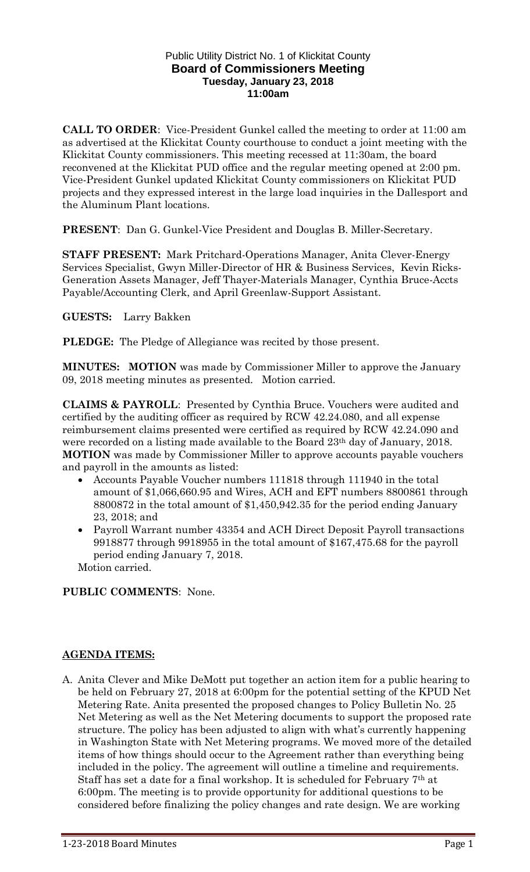#### Public Utility District No. 1 of Klickitat County **Board of Commissioners Meeting Tuesday, January 23, 2018 11:00am**

**CALL TO ORDER**: Vice-President Gunkel called the meeting to order at 11:00 am as advertised at the Klickitat County courthouse to conduct a joint meeting with the Klickitat County commissioners. This meeting recessed at 11:30am, the board reconvened at the Klickitat PUD office and the regular meeting opened at 2:00 pm. Vice-President Gunkel updated Klickitat County commissioners on Klickitat PUD projects and they expressed interest in the large load inquiries in the Dallesport and the Aluminum Plant locations.

**PRESENT**: Dan G. Gunkel-Vice President and Douglas B. Miller-Secretary.

**STAFF PRESENT:** Mark Pritchard-Operations Manager, Anita Clever-Energy Services Specialist, Gwyn Miller-Director of HR & Business Services, Kevin Ricks-Generation Assets Manager, Jeff Thayer-Materials Manager, Cynthia Bruce-Accts Payable/Accounting Clerk, and April Greenlaw-Support Assistant.

**GUESTS:** Larry Bakken

**PLEDGE:** The Pledge of Allegiance was recited by those present.

**MINUTES: MOTION** was made by Commissioner Miller to approve the January 09, 2018 meeting minutes as presented. Motion carried.

**CLAIMS & PAYROLL**: Presented by Cynthia Bruce. Vouchers were audited and certified by the auditing officer as required by RCW 42.24.080, and all expense reimbursement claims presented were certified as required by RCW 42.24.090 and were recorded on a listing made available to the Board 23<sup>th</sup> day of January, 2018. **MOTION** was made by Commissioner Miller to approve accounts payable vouchers and payroll in the amounts as listed:

- Accounts Payable Voucher numbers 111818 through 111940 in the total amount of \$1,066,660.95 and Wires, ACH and EFT numbers 8800861 through 8800872 in the total amount of \$1,450,942.35 for the period ending January 23, 2018; and
- Payroll Warrant number 43354 and ACH Direct Deposit Payroll transactions 9918877 through 9918955 in the total amount of \$167,475.68 for the payroll period ending January 7, 2018. Motion carried.

**PUBLIC COMMENTS**: None.

#### **AGENDA ITEMS:**

A. Anita Clever and Mike DeMott put together an action item for a public hearing to be held on February 27, 2018 at 6:00pm for the potential setting of the KPUD Net Metering Rate. Anita presented the proposed changes to Policy Bulletin No. 25 Net Metering as well as the Net Metering documents to support the proposed rate structure. The policy has been adjusted to align with what's currently happening in Washington State with Net Metering programs. We moved more of the detailed items of how things should occur to the Agreement rather than everything being included in the policy. The agreement will outline a timeline and requirements. Staff has set a date for a final workshop. It is scheduled for February 7th at 6:00pm. The meeting is to provide opportunity for additional questions to be considered before finalizing the policy changes and rate design. We are working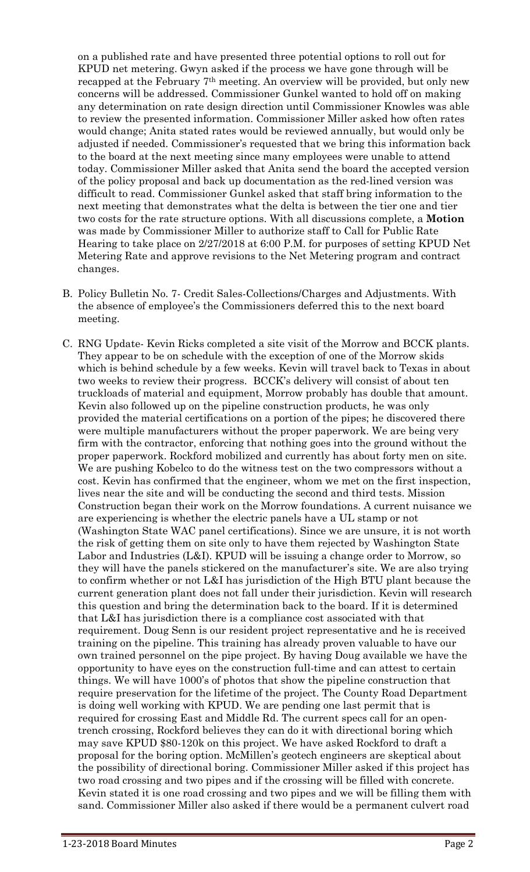on a published rate and have presented three potential options to roll out for KPUD net metering. Gwyn asked if the process we have gone through will be recapped at the February 7th meeting. An overview will be provided, but only new concerns will be addressed. Commissioner Gunkel wanted to hold off on making any determination on rate design direction until Commissioner Knowles was able to review the presented information. Commissioner Miller asked how often rates would change; Anita stated rates would be reviewed annually, but would only be adjusted if needed. Commissioner's requested that we bring this information back to the board at the next meeting since many employees were unable to attend today. Commissioner Miller asked that Anita send the board the accepted version of the policy proposal and back up documentation as the red-lined version was difficult to read. Commissioner Gunkel asked that staff bring information to the next meeting that demonstrates what the delta is between the tier one and tier two costs for the rate structure options. With all discussions complete, a **Motion** was made by Commissioner Miller to authorize staff to Call for Public Rate Hearing to take place on 2/27/2018 at 6:00 P.M. for purposes of setting KPUD Net Metering Rate and approve revisions to the Net Metering program and contract changes.

- B. Policy Bulletin No. 7- Credit Sales-Collections/Charges and Adjustments. With the absence of employee's the Commissioners deferred this to the next board meeting.
- C. RNG Update- Kevin Ricks completed a site visit of the Morrow and BCCK plants. They appear to be on schedule with the exception of one of the Morrow skids which is behind schedule by a few weeks. Kevin will travel back to Texas in about two weeks to review their progress. BCCK's delivery will consist of about ten truckloads of material and equipment, Morrow probably has double that amount. Kevin also followed up on the pipeline construction products, he was only provided the material certifications on a portion of the pipes; he discovered there were multiple manufacturers without the proper paperwork. We are being very firm with the contractor, enforcing that nothing goes into the ground without the proper paperwork. Rockford mobilized and currently has about forty men on site. We are pushing Kobelco to do the witness test on the two compressors without a cost. Kevin has confirmed that the engineer, whom we met on the first inspection, lives near the site and will be conducting the second and third tests. Mission Construction began their work on the Morrow foundations. A current nuisance we are experiencing is whether the electric panels have a UL stamp or not (Washington State WAC panel certifications). Since we are unsure, it is not worth the risk of getting them on site only to have them rejected by Washington State Labor and Industries (L&I). KPUD will be issuing a change order to Morrow, so they will have the panels stickered on the manufacturer's site. We are also trying to confirm whether or not L&I has jurisdiction of the High BTU plant because the current generation plant does not fall under their jurisdiction. Kevin will research this question and bring the determination back to the board. If it is determined that L&I has jurisdiction there is a compliance cost associated with that requirement. Doug Senn is our resident project representative and he is received training on the pipeline. This training has already proven valuable to have our own trained personnel on the pipe project. By having Doug available we have the opportunity to have eyes on the construction full-time and can attest to certain things. We will have 1000's of photos that show the pipeline construction that require preservation for the lifetime of the project. The County Road Department is doing well working with KPUD. We are pending one last permit that is required for crossing East and Middle Rd. The current specs call for an opentrench crossing, Rockford believes they can do it with directional boring which may save KPUD \$80-120k on this project. We have asked Rockford to draft a proposal for the boring option. McMillen's geotech engineers are skeptical about the possibility of directional boring. Commissioner Miller asked if this project has two road crossing and two pipes and if the crossing will be filled with concrete. Kevin stated it is one road crossing and two pipes and we will be filling them with sand. Commissioner Miller also asked if there would be a permanent culvert road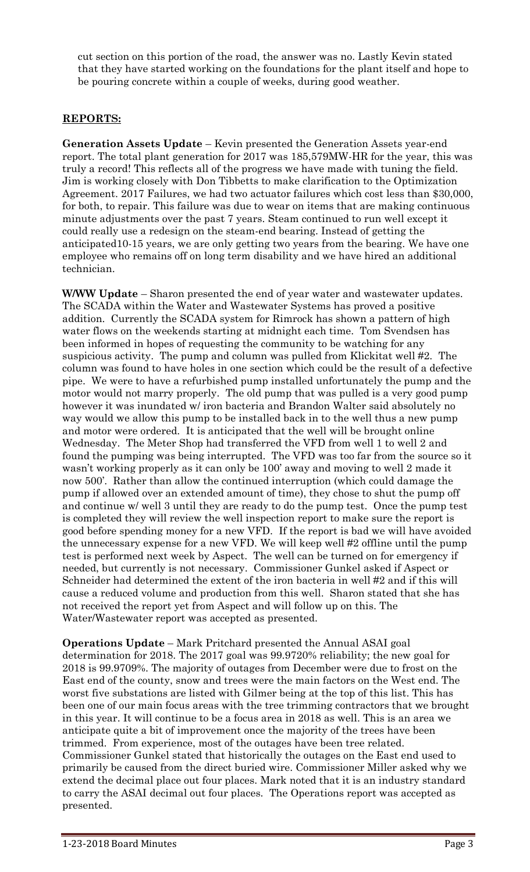cut section on this portion of the road, the answer was no. Lastly Kevin stated that they have started working on the foundations for the plant itself and hope to be pouring concrete within a couple of weeks, during good weather.

# **REPORTS:**

**Generation Assets Update** – Kevin presented the Generation Assets year-end report. The total plant generation for 2017 was 185,579MW-HR for the year, this was truly a record! This reflects all of the progress we have made with tuning the field. Jim is working closely with Don Tibbetts to make clarification to the Optimization Agreement. 2017 Failures, we had two actuator failures which cost less than \$30,000, for both, to repair. This failure was due to wear on items that are making continuous minute adjustments over the past 7 years. Steam continued to run well except it could really use a redesign on the steam-end bearing. Instead of getting the anticipated10-15 years, we are only getting two years from the bearing. We have one employee who remains off on long term disability and we have hired an additional technician.

**W/WW Update** – Sharon presented the end of year water and wastewater updates. The SCADA within the Water and Wastewater Systems has proved a positive addition. Currently the SCADA system for Rimrock has shown a pattern of high water flows on the weekends starting at midnight each time. Tom Svendsen has been informed in hopes of requesting the community to be watching for any suspicious activity. The pump and column was pulled from Klickitat well #2. The column was found to have holes in one section which could be the result of a defective pipe. We were to have a refurbished pump installed unfortunately the pump and the motor would not marry properly. The old pump that was pulled is a very good pump however it was inundated w/ iron bacteria and Brandon Walter said absolutely no way would we allow this pump to be installed back in to the well thus a new pump and motor were ordered. It is anticipated that the well will be brought online Wednesday. The Meter Shop had transferred the VFD from well 1 to well 2 and found the pumping was being interrupted. The VFD was too far from the source so it wasn't working properly as it can only be 100' away and moving to well 2 made it now 500'. Rather than allow the continued interruption (which could damage the pump if allowed over an extended amount of time), they chose to shut the pump off and continue w/ well 3 until they are ready to do the pump test. Once the pump test is completed they will review the well inspection report to make sure the report is good before spending money for a new VFD. If the report is bad we will have avoided the unnecessary expense for a new VFD. We will keep well #2 offline until the pump test is performed next week by Aspect. The well can be turned on for emergency if needed, but currently is not necessary. Commissioner Gunkel asked if Aspect or Schneider had determined the extent of the iron bacteria in well #2 and if this will cause a reduced volume and production from this well. Sharon stated that she has not received the report yet from Aspect and will follow up on this. The Water/Wastewater report was accepted as presented.

**Operations Update** – Mark Pritchard presented the Annual ASAI goal determination for 2018. The 2017 goal was 99.9720% reliability; the new goal for 2018 is 99.9709%. The majority of outages from December were due to frost on the East end of the county, snow and trees were the main factors on the West end. The worst five substations are listed with Gilmer being at the top of this list. This has been one of our main focus areas with the tree trimming contractors that we brought in this year. It will continue to be a focus area in 2018 as well. This is an area we anticipate quite a bit of improvement once the majority of the trees have been trimmed. From experience, most of the outages have been tree related. Commissioner Gunkel stated that historically the outages on the East end used to primarily be caused from the direct buried wire. Commissioner Miller asked why we extend the decimal place out four places. Mark noted that it is an industry standard to carry the ASAI decimal out four places. The Operations report was accepted as presented.